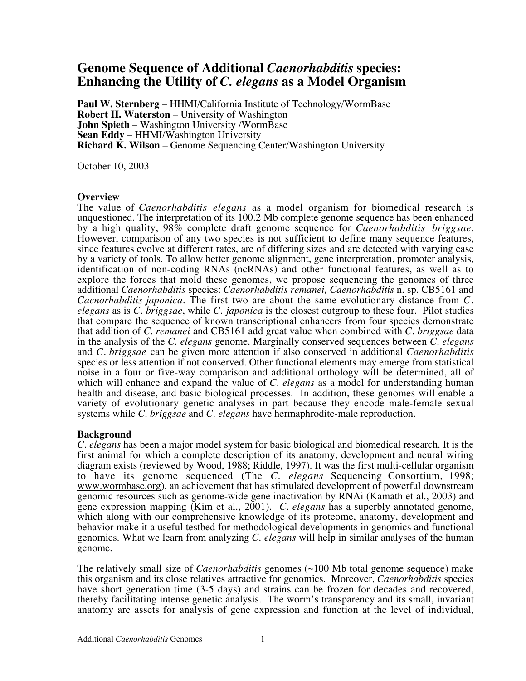# **Genome Sequence of Additional** *Caenorhabditis* **species: Enhancing the Utility of** *C. elegans* **as a Model Organism**

**Paul W. Sternberg** – HHMI/California Institute of Technology/WormBase **Robert H. Waterston** – University of Washington **John Spieth** – Washington University /WormBase **Sean Eddy** – HHMI/Washington University **Richard K. Wilson** – Genome Sequencing Center/Washington University

October 10, 2003

## **Overview**

The value of *Caenorhabditis elegans* as a model organism for biomedical research is unquestioned. The interpretation of its 100.2 Mb complete genome sequence has been enhanced by a high quality, 98% complete draft genome sequence for *Caenorhabditis briggsae*. However, comparison of any two species is not sufficient to define many sequence features, since features evolve at different rates, are of differing sizes and are detected with varying ease by a variety of tools. To allow better genome alignment, gene interpretation, promoter analysis, identification of non-coding RNAs (ncRNAs) and other functional features, as well as to explore the forces that mold these genomes, we propose sequencing the genomes of three additional *Caenorhabditis* species: *Caenorhabditis remanei, Caenorhabditis* n. sp*.* CB5161 and *Caenorhabditis japonica*. The first two are about the same evolutionary distance from *C. elegans* as is *C. briggsae*, while *C. japonica* is the closest outgroup to these four. Pilot studies that compare the sequence of known transcriptional enhancers from four species demonstrate that addition of *C. remanei* and CB5161 add great value when combined with *C. briggsae* data in the analysis of the *C. elegans* genome. Marginally conserved sequences between *C. elegans* and *C. briggsae* can be given more attention if also conserved in additional *Caenorhabditis* species or less attention if not conserved. Other functional elements may emerge from statistical noise in a four or five-way comparison and additional orthology will be determined, all of which will enhance and expand the value of *C. elegans* as a model for understanding human health and disease, and basic biological processes. In addition, these genomes will enable a variety of evolutionary genetic analyses in part because they encode male-female sexual systems while *C. briggsae* and *C. elegans* have hermaphrodite-male reproduction.

## **Background**

*C. elegans* has been a major model system for basic biological and biomedical research. It is the first animal for which a complete description of its anatomy, development and neural wiring diagram exists (reviewed by Wood, 1988; Riddle, 1997). It was the first multi-cellular organism to have its genome sequenced (The *C. elegans* Sequencing Consortium, 1998; www.wormbase.org), an achievement that has stimulated development of powerful downstream genomic resources such as genome-wide gene inactivation by RNAi (Kamath et al., 2003) and gene expression mapping (Kim et al., 2001). *C. elegans* has a superbly annotated genome, which along with our comprehensive knowledge of its proteome, anatomy, development and behavior make it a useful testbed for methodological developments in genomics and functional genomics. What we learn from analyzing *C. elegans* will help in similar analyses of the human genome.

The relatively small size of *Caenorhabditis* genomes (~100 Mb total genome sequence) make this organism and its close relatives attractive for genomics. Moreover, *Caenorhabditis* species have short generation time (3-5 days) and strains can be frozen for decades and recovered, thereby facilitating intense genetic analysis. The worm's transparency and its small, invariant anatomy are assets for analysis of gene expression and function at the level of individual,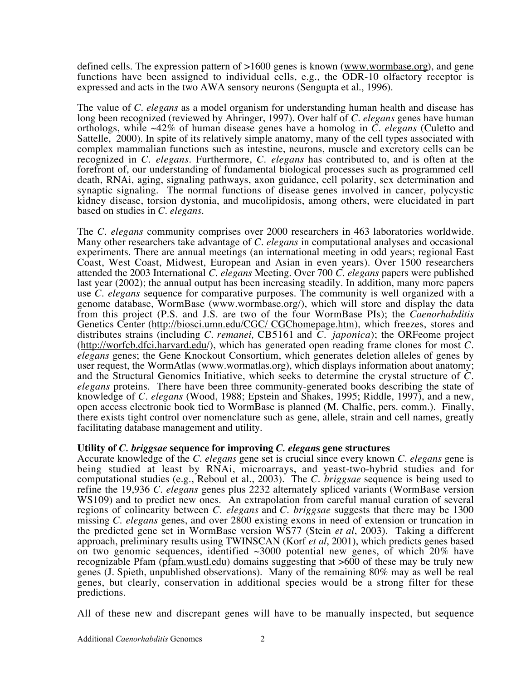defined cells. The expression pattern of >1600 genes is known (www.wormbase.org), and gene functions have been assigned to individual cells, e.g., the ODR-10 olfactory receptor is expressed and acts in the two AWA sensory neurons (Sengupta et al., 1996).

The value of *C. elegans* as a model organism for understanding human health and disease has long been recognized (reviewed by Ahringer, 1997). Over half of *C. elegans* genes have human orthologs, while ~42% of human disease genes have a homolog in *C. elegans* (Culetto and Sattelle, 2000). In spite of its relatively simple anatomy, many of the cell types associated with complex mammalian functions such as intestine, neurons, muscle and excretory cells can be recognized in *C. elegans*. Furthermore, *C. elegans* has contributed to, and is often at the forefront of, our understanding of fundamental biological processes such as programmed cell death, RNAi, aging, signaling pathways, axon guidance, cell polarity, sex determination and synaptic signaling. The normal functions of disease genes involved in cancer, polycystic kidney disease, torsion dystonia, and mucolipidosis, among others, were elucidated in part based on studies in *C. elegans*.

The *C. elegans* community comprises over 2000 researchers in 463 laboratories worldwide. Many other researchers take advantage of *C. elegans* in computational analyses and occasional experiments. There are annual meetings (an international meeting in odd years; regional East Coast, West Coast, Midwest, European and Asian in even years). Over 1500 researchers attended the 2003 International *C. elegans* Meeting. Over 700 *C. elegans* papers were published last year (2002); the annual output has been increasing steadily. In addition, many more papers use *C. elegans* sequence for comparative purposes. The community is well organized with a genome database, WormBase (www.wormbase.org/), which will store and display the data from this project (P.S. and J.S. are two of the four WormBase PIs); the *Caenorhabditis* Genetics Center (http://biosci.umn.edu/CGC/ CGChomepage.htm), which freezes, stores and distributes strains (including *C. remanei,* CB5161 and *C. japonica*); the ORFeome project (http://worfcb.dfci.harvard.edu/), which has generated open reading frame clones for most *C. elegans* genes; the Gene Knockout Consortium, which generates deletion alleles of genes by user request, the WormAtlas (www.wormatlas.org), which displays information about anatomy; and the Structural Genomics Initiative, which seeks to determine the crystal structure of *C. elegans* proteins. There have been three community-generated books describing the state of knowledge of *C. elegans* (Wood, 1988; Epstein and Shakes, 1995; Riddle, 1997), and a new, open access electronic book tied to WormBase is planned (M. Chalfie, pers. comm.). Finally, there exists tight control over nomenclature such as gene, allele, strain and cell names, greatly facilitating database management and utility.

# **Utility of** *C. briggsae* **sequence for improving** *C. elegan***s gene structures**

Accurate knowledge of the *C. elegans* gene set is crucial since every known *C. elegans* gene is being studied at least by RNAi, microarrays, and yeast-two-hybrid studies and for computational studies (e.g., Reboul et al., 2003). The *C. briggsae* sequence is being used to refine the 19,936 *C. elegans* genes plus 2232 alternately spliced variants (WormBase version WS109) and to predict new ones. An extrapolation from careful manual curation of several regions of colinearity between *C. elegans* and *C. briggsae* suggests that there may be 1300 missing *C. elegans* genes, and over 2800 existing exons in need of extension or truncation in the predicted gene set in WormBase version WS77 (Stein *et al*, 2003). Taking a different approach, preliminary results using TWINSCAN (Korf *et al*, 2001), which predicts genes based on two genomic sequences, identified  $\sim$ 3000 potential new genes, of which 20% have recognizable Pfam (pfam.wustl.edu) domains suggesting that >600 of these may be truly new genes (J. Spieth, unpublished observations). Many of the remaining 80% may as well be real genes, but clearly, conservation in additional species would be a strong filter for these predictions.

All of these new and discrepant genes will have to be manually inspected, but sequence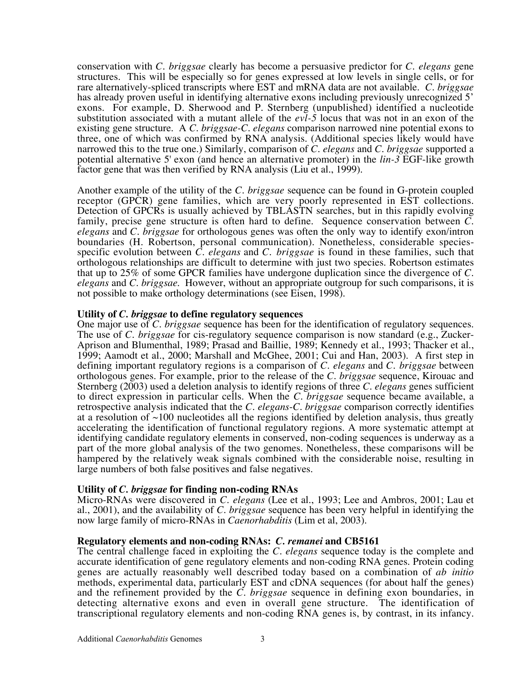conservation with *C. briggsae* clearly has become a persuasive predictor for *C. elegans* gene structures. This will be especially so for genes expressed at low levels in single cells, or for rare alternatively-spliced transcripts where EST and mRNA data are not available. *C. briggsae* has already proven useful in identifying alternative exons including previously unrecognized 5' exons. For example, D. Sherwood and P. Sternberg (unpublished) identified a nucleotide substitution associated with a mutant allele of the *evl-5* locus that was not in an exon of the existing gene structure. A *C. briggsae-C. elegans* comparison narrowed nine potential exons to three, one of which was confirmed by RNA analysis. (Additional species likely would have narrowed this to the true one.) Similarly, comparison of *C. elegans* and *C. briggsae* supported a potential alternative 5' exon (and hence an alternative promoter) in the *lin-3* EGF-like growth factor gene that was then verified by RNA analysis (Liu et al., 1999).

Another example of the utility of the *C. briggsae* sequence can be found in G-protein coupled receptor (GPCR) gene families, which are very poorly represented in EST collections. Detection of GPCRs is usually achieved by TBLASTN searches, but in this rapidly evolving family, precise gene structure is often hard to define. Sequence conservation between *C. elegans* and *C. briggsae* for orthologous genes was often the only way to identify exon/intron boundaries (H. Robertson, personal communication). Nonetheless, considerable speciesspecific evolution between *C. elegans* and *C. briggsae* is found in these families, such that orthologous relationships are difficult to determine with just two species. Robertson estimates that up to 25% of some GPCR families have undergone duplication since the divergence of *C. elegans* and *C. briggsae*. However, without an appropriate outgroup for such comparisons, it is not possible to make orthology determinations (see Eisen, 1998).

## **Utility of** *C. briggsae* **to define regulatory sequences**

One major use of *C. briggsae* sequence has been for the identification of regulatory sequences. The use of *C. briggsae* for cis-regulatory sequence comparison is now standard (e.g., Zucker-Aprison and Blumenthal, 1989; Prasad and Baillie, 1989; Kennedy et al., 1993; Thacker et al., 1999; Aamodt et al., 2000; Marshall and McGhee, 2001; Cui and Han, 2003). A first step in defining important regulatory regions is a comparison of *C. elegans* and *C. briggsae* between orthologous genes. For example, prior to the release of the *C. briggsae* sequence, Kirouac and Sternberg (2003) used a deletion analysis to identify regions of three *C. elegans* genes sufficient to direct expression in particular cells. When the *C. briggsae* sequence became available, a retrospective analysis indicated that the *C. elegans*-*C. briggsae* comparison correctly identifies at a resolution of  $\sim$ 100 nucleotides all the regions identified by deletion analysis, thus greatly accelerating the identification of functional regulatory regions. A more systematic attempt at identifying candidate regulatory elements in conserved, non-coding sequences is underway as a part of the more global analysis of the two genomes. Nonetheless, these comparisons will be hampered by the relatively weak signals combined with the considerable noise, resulting in large numbers of both false positives and false negatives.

# **Utility of** *C. briggsae* **for finding non-coding RNAs**

Micro-RNAs were discovered in *C. elegans* (Lee et al., 1993; Lee and Ambros, 2001; Lau et al., 2001), and the availability of *C. briggsae* sequence has been very helpful in identifying the now large family of micro-RNAs in *Caenorhabditis* (Lim et al, 2003).

## **Regulatory elements and non-coding RNAs:** *C. remanei* **and CB5161**

The central challenge faced in exploiting the *C. elegans* sequence today is the complete and accurate identification of gene regulatory elements and non-coding RNA genes. Protein coding genes are actually reasonably well described today based on a combination of *ab initio* methods, experimental data, particularly EST and cDNA sequences (for about half the genes) and the refinement provided by the *C. briggsae* sequence in defining exon boundaries, in detecting alternative exons and even in overall gene structure. The identification of transcriptional regulatory elements and non-coding RNA genes is, by contrast, in its infancy.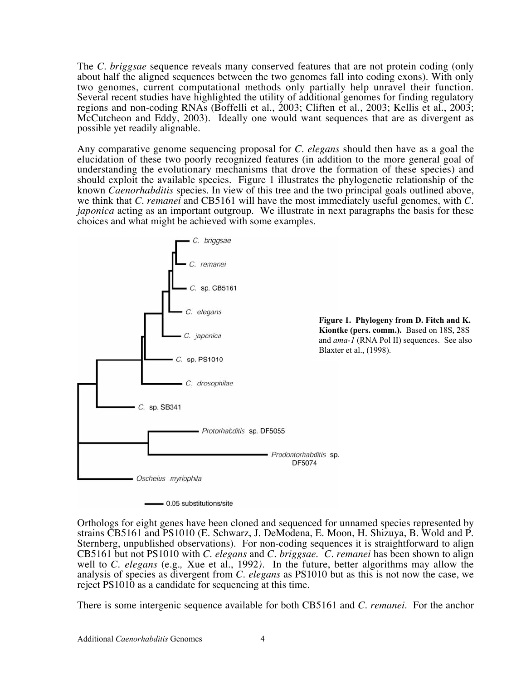The *C. briggsae* sequence reveals many conserved features that are not protein coding (only about half the aligned sequences between the two genomes fall into coding exons). With only two genomes, current computational methods only partially help unravel their function. Several recent studies have highlighted the utility of additional genomes for finding regulatory regions and non-coding RNAs (Boffelli et al., 2003; Cliften et al., 2003; Kellis et al., 2003; McCutcheon and Eddy, 2003). Ideally one would want sequences that are as divergent as possible yet readily alignable.

Any comparative genome sequencing proposal for *C. elegans* should then have as a goal the elucidation of these two poorly recognized features (in addition to the more general goal of understanding the evolutionary mechanisms that drove the formation of these species) and should exploit the available species. Figure 1 illustrates the phylogenetic relationship of the known *Caenorhabditis* species. In view of this tree and the two principal goals outlined above, we think that *C. remanei* and CB5161 will have the most immediately useful genomes, with *C. japonica* acting as an important outgroup. We illustrate in next paragraphs the basis for these choices and what might be achieved with some examples.



Orthologs for eight genes have been cloned and sequenced for unnamed species represented by strains CB5161 and PS1010 (E. Schwarz, J. DeModena, E. Moon, H. Shizuya, B. Wold and P. Sternberg, unpublished observations). For non-coding sequences it is straightforward to align CB5161 but not PS1010 with *C. elegans* and *C. briggsae*. *C. remanei* has been shown to align well to *C. elegans* (e.g.*,* Xue et al., 1992*)*. In the future, better algorithms may allow the analysis of species as divergent from *C. elegans* as PS1010 but as this is not now the case, we reject PS1010 as a candidate for sequencing at this time.

There is some intergenic sequence available for both CB5161 and *C. remanei*. For the anchor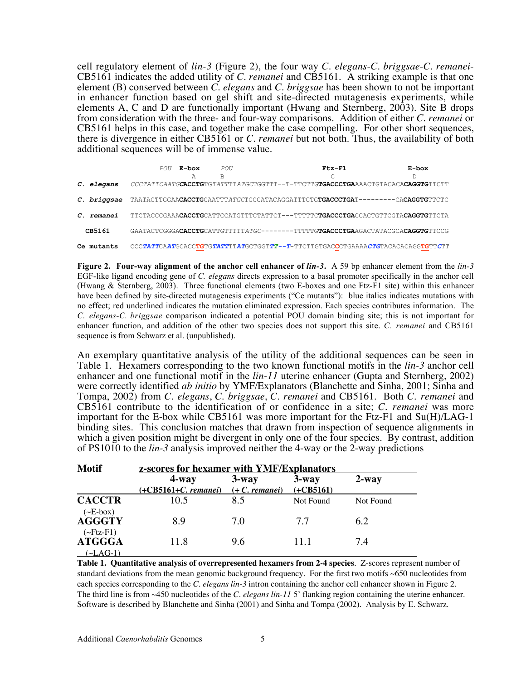cell regulatory element of *lin-3* (Figure 2), the four way *C. elegans*-*C. briggsae*-*C. remanei*-CB5161 indicates the added utility of *C. remanei* and CB5161. A striking example is that one element (B) conserved between *C. elegans* and *C. briggsae* has been shown to not be important in enhancer function based on gel shift and site-directed mutagenesis experiments, while elements A, C and D are functionally important (Hwang and Sternberg, 2003). Site B drops from consideration with the three- and four-way comparisons. Addition of either *C. remanei* or CB5161 helps in this case, and together make the case compelling. For other short sequences, there is divergence in either CB5161 or *C. remanei* but not both. Thus, the availability of both additional sequences will be of immense value.

|                   | POU | E-box | POU | $Ftz-F1$                                                                                                  | E-box |
|-------------------|-----|-------|-----|-----------------------------------------------------------------------------------------------------------|-------|
|                   |     | A     | В   |                                                                                                           |       |
| C. elegans        |     |       |     | CCCTATTCAATGCACCTGTGTATTTTATGCTGGTTT--T-TTCTTGTGACCCTGAAAACTGTACACACAGGTGTTCTT                            |       |
|                   |     |       |     | C. briggsae TAATAGTTGGAACACCTGCAATTTATGCTGCCATACAGGATTTGTGTGACCCTGAT--------CACAGGTGTTCTC                 |       |
| <i>C. remanei</i> |     |       |     | TTCTACCCGAAA <b>CACCTG</b> CATTCCATGTTTCTATTCT---TTTTTC <b>TGACCCTGA</b> CCACTGTTCGTA <b>CAGGTG</b> TTCTA |       |
| CB5161            |     |       |     | GAATACTCGGGA <b>CACCTG</b> CATTGTTTT7ATGC-------TTTTTG <b>TGACCCTGA</b> AGACTATACGCA <b>CAGGTG</b> TTCCG  |       |
| Ce mutants        |     |       |     | CCCTATTCAATGCACCTGTGTATTTTATGCTGGTTT--T-TTCTTGTGACCCTGAAAACTGTACACACAGGTGTTCTT                            |       |

**Figure 2. Four-way alignment of the anchor cell enhancer of** *lin-3***.** A 59 bp enhancer element from the *lin-3* EGF-like ligand encoding gene of *C. elegans* directs expression to a basal promoter specifically in the anchor cell (Hwang & Sternberg, 2003). Three functional elements (two E-boxes and one Ftz-F1 site) within this enhancer have been defined by site-directed mutagenesis experiments ("Ce mutants"): blue italics indicates mutations with no effect; red underlined indicates the mutation eliminated expression. Each species contributes information. The *C. elegans*-*C. briggsae* comparison indicated a potential POU domain binding site; this is not important for enhancer function, and addition of the other two species does not support this site. *C. remanei* and CB5161 sequence is from Schwarz et al. (unpublished).

An exemplary quantitative analysis of the utility of the additional sequences can be seen in Table 1. Hexamers corresponding to the two known functional motifs in the *lin-3* anchor cell enhancer and one functional motif in the *lin-11* uterine enhancer (Gupta and Sternberg, 2002) were correctly identified *ab initio* by YMF/Explanators (Blanchette and Sinha, 2001; Sinha and Tompa, 2002) from *C. elegans*, *C. briggsae*, *C. remanei* and CB5161. Both *C. remanei* and CB5161 contribute to the identification of or confidence in a site; *C. remanei* was more important for the E-box while CB5161 was more important for the Ftz-F1 and Su(H)/LAG-1 binding sites. This conclusion matches that drawn from inspection of sequence alignments in which a given position might be divergent in only one of the four species. By contrast, addition of PS1010 to the *lin-3* analysis improved neither the 4-way or the 2-way predictions

| <b>Motif</b>                              | <b>z-scores for hexamer with YMF/Explanators</b> |          |             |           |  |  |
|-------------------------------------------|--------------------------------------------------|----------|-------------|-----------|--|--|
|                                           | $4$ -way                                         | $3$ -way | $3$ -way    | $2$ -way  |  |  |
|                                           | $(+CB5161+C.$ remanei) $(+ C.$ remanei)          |          | $(+CB5161)$ |           |  |  |
| <b>CACCTR</b>                             | 10.5                                             | 8.5      | Not Found   | Not Found |  |  |
| $(\sim\!\!E\text{-box})$<br><b>AGGGTY</b> | 8.9                                              | 70       | 77          | 6.2       |  |  |
| $(\sim Ftz-F1)$<br><b>ATGGGA</b>          | 11.8                                             | 9.6      | 11.1        | 7.4       |  |  |
| (~LAG-1)                                  |                                                  |          |             |           |  |  |

**Table 1. Quantitative analysis of overrepresented hexamers from 2-4 species**. Z-scores represent number of standard deviations from the mean genomic background frequency. For the first two motifs ~650 nucleotides from each species corresponding to the *C. elegans lin-3* intron containing the anchor cell enhancer shown in Figure 2. The third line is from ~450 nucleotides of the *C. elegans lin-11* 5' flanking region containing the uterine enhancer. Software is described by Blanchette and Sinha (2001) and Sinha and Tompa (2002). Analysis by E. Schwarz.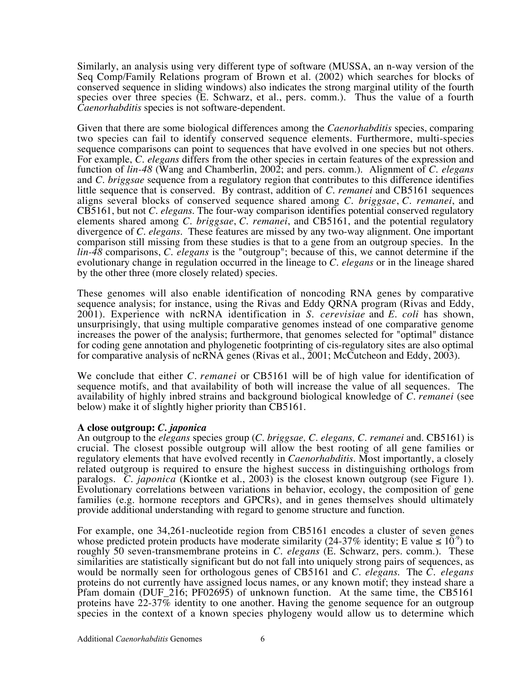Similarly, an analysis using very different type of software (MUSSA, an n-way version of the Seq Comp/Family Relations program of Brown et al. (2002) which searches for blocks of conserved sequence in sliding windows) also indicates the strong marginal utility of the fourth species over three species (E. Schwarz, et al., pers. comm.). Thus the value of a fourth *Caenorhabditis* species is not software-dependent.

Given that there are some biological differences among the *Caenorhabditis* species, comparing two species can fail to identify conserved sequence elements. Furthermore, multi-species sequence comparisons can point to sequences that have evolved in one species but not others. For example, *C. elegans* differs from the other species in certain features of the expression and function of *lin-48* (Wang and Chamberlin, 2002; and pers. comm.). Alignment of *C. elegans* and *C. briggsae* sequence from a regulatory region that contributes to this difference identifies little sequence that is conserved. By contrast, addition of *C. remanei* and CB5161 sequences aligns several blocks of conserved sequence shared among *C. briggsae*, *C. remanei*, and CB5161, but not *C. elegans*. The four-way comparison identifies potential conserved regulatory elements shared among *C. briggsae*, *C. remanei*, and CB5161, and the potential regulatory divergence of *C. elegans*. These features are missed by any two-way alignment. One important comparison still missing from these studies is that to a gene from an outgroup species. In the *lin-48* comparisons, *C. elegans* is the "outgroup"; because of this, we cannot determine if the evolutionary change in regulation occurred in the lineage to *C. elegans* or in the lineage shared by the other three (more closely related) species.

These genomes will also enable identification of noncoding RNA genes by comparative sequence analysis; for instance, using the Rivas and Eddy QRNA program (Rivas and Eddy, 2001). Experience with ncRNA identification in *S. cerevisiae* and *E. coli* has shown, unsurprisingly, that using multiple comparative genomes instead of one comparative genome increases the power of the analysis; furthermore, that genomes selected for "optimal" distance for coding gene annotation and phylogenetic footprinting of cis-regulatory sites are also optimal for comparative analysis of ncRNA genes (Rivas et al., 2001; McCutcheon and Eddy, 2003).

We conclude that either *C. remanei* or CB5161 will be of high value for identification of sequence motifs, and that availability of both will increase the value of all sequences. The availability of highly inbred strains and background biological knowledge of *C. remanei* (see below) make it of slightly higher priority than CB5161.

## **A close outgroup:** *C. japonica*

An outgroup to the *elegans* species group (*C. briggsae, C. elegans, C. remanei* and*.* CB5161) is crucial. The closest possible outgroup will allow the best rooting of all gene families or regulatory elements that have evolved recently in *Caenorhabditis*. Most importantly, a closely related outgroup is required to ensure the highest success in distinguishing orthologs from paralogs. *C. japonica* (Kiontke et al., 2003) is the closest known outgroup (see Figure 1). Evolutionary correlations between variations in behavior, ecology, the composition of gene families (e.g. hormone receptors and GPCRs), and in genes themselves should ultimately provide additional understanding with regard to genome structure and function.

For example, one 34,261-nucleotide region from CB5161 encodes a cluster of seven genes whose predicted protein products have moderate similarity (24-37% identity; E value  $\leq 10^{-9}$ ) to roughly 50 seven-transmembrane proteins in *C. elegans* (E. Schwarz, pers. comm.). These similarities are statistically significant but do not fall into uniquely strong pairs of sequences, as would be normally seen for orthologous genes of CB5161 and *C. elegans*. The *C. elegans* proteins do not currently have assigned locus names, or any known motif; they instead share a Pfam domain (DUF\_216; PF02695) of unknown function. At the same time, the CB5161 proteins have 22-37% identity to one another. Having the genome sequence for an outgroup species in the context of a known species phylogeny would allow us to determine which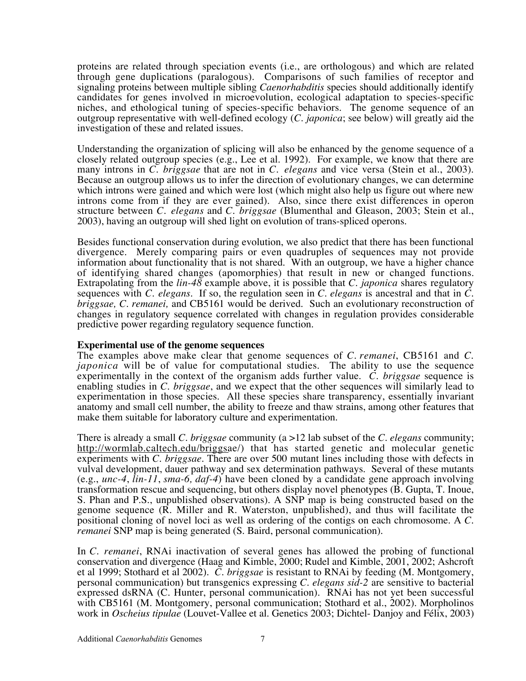proteins are related through speciation events (i.e., are orthologous) and which are related through gene duplications (paralogous). Comparisons of such families of receptor and signaling proteins between multiple sibling *Caenorhabditis* species should additionally identify candidates for genes involved in microevolution, ecological adaptation to species-specific niches, and ethological tuning of species-specific behaviors. The genome sequence of an outgroup representative with well-defined ecology (*C. japonica*; see below) will greatly aid the investigation of these and related issues.

Understanding the organization of splicing will also be enhanced by the genome sequence of a closely related outgroup species (e.g., Lee et al. 1992). For example, we know that there are many introns in *C. briggsae* that are not in *C. elegans* and vice versa (Stein et al., 2003). Because an outgroup allows us to infer the direction of evolutionary changes, we can determine which introns were gained and which were lost (which might also help us figure out where new introns come from if they are ever gained). Also, since there exist differences in operon structure between *C. elegans* and *C. briggsae* (Blumenthal and Gleason, 2003; Stein et al., 2003), having an outgroup will shed light on evolution of trans-spliced operons.

Besides functional conservation during evolution, we also predict that there has been functional divergence. Merely comparing pairs or even quadruples of sequences may not provide information about functionality that is not shared. With an outgroup, we have a higher chance of identifying shared changes (apomorphies) that result in new or changed functions. Extrapolating from the *lin-48* example above, it is possible that *C. japonica* shares regulatory sequences with *C. elegans*. If so, the regulation seen in *C. elegans* is ancestral and that in *C. briggsae, C. remanei,* and CB5161 would be derived. Such an evolutionary reconstruction of changes in regulatory sequence correlated with changes in regulation provides considerable predictive power regarding regulatory sequence function.

## **Experimental use of the genome sequences**

The examples above make clear that genome sequences of *C. remanei*, CB5161 and *C. japonica* will be of value for computational studies. The ability to use the sequence experimentally in the context of the organism adds further value. *C. briggsae* sequence is enabling studies in *C. briggsae*, and we expect that the other sequences will similarly lead to experimentation in those species. All these species share transparency, essentially invariant anatomy and small cell number, the ability to freeze and thaw strains, among other features that make them suitable for laboratory culture and experimentation.

There is already a small *C. briggsae* community (a >12 lab subset of the *C. elegans* community; http://wormlab.caltech.edu/briggsae/) that has started genetic and molecular genetic experiments with *C. briggsae*. There are over 500 mutant lines including those with defects in vulval development, dauer pathway and sex determination pathways. Several of these mutants (e.g., *unc-4*, *lin-11*, *sma-6, daf-4*) have been cloned by a candidate gene approach involving transformation rescue and sequencing, but others display novel phenotypes (B. Gupta, T. Inoue, S. Phan and P.S., unpublished observations). A SNP map is being constructed based on the genome sequence (R. Miller and R. Waterston, unpublished), and thus will facilitate the positional cloning of novel loci as well as ordering of the contigs on each chromosome. A *C. remanei* SNP map is being generated (S. Baird, personal communication).

In *C. remanei*, RNAi inactivation of several genes has allowed the probing of functional conservation and divergence (Haag and Kimble, 2000; Rudel and Kimble, 2001, 2002; Ashcroft et al 1999; Stothard et al 2002). *C. briggsae* is resistant to RNAi by feeding (M. Montgomery, personal communication) but transgenics expressing *C. elegans sid-2* are sensitive to bacterial expressed dsRNA (C. Hunter, personal communication). RNAi has not yet been successful with CB5161 (M. Montgomery, personal communication; Stothard et al., 2002). Morpholinos work in *Oscheius tipulae* (Louvet-Vallee et al. Genetics 2003; Dichtel- Danjoy and Félix, 2003)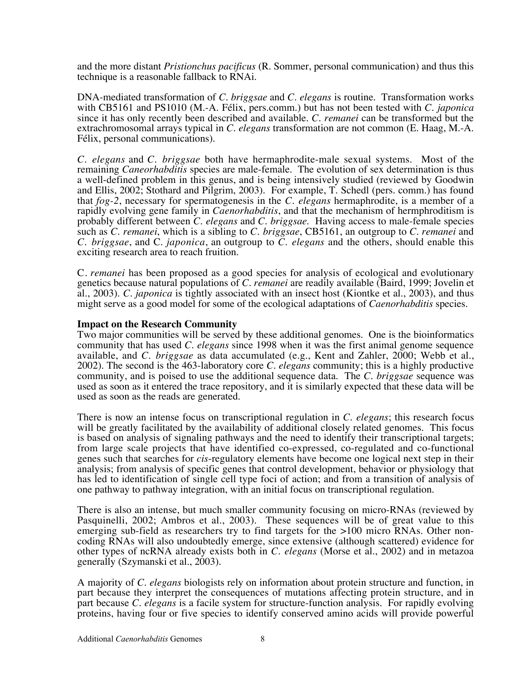and the more distant *Pristionchus pacificus* (R. Sommer, personal communication) and thus this technique is a reasonable fallback to RNAi.

DNA-mediated transformation of *C. briggsae* and *C. elegans* is routine. Transformation works with CB5161 and PS1010 (M.-A. Félix, pers.comm.) but has not been tested with *C. japonica* since it has only recently been described and available. *C. remanei* can be transformed but the extrachromosomal arrays typical in *C. elegans* transformation are not common (E. Haag, M.-A. Félix, personal communications).

*C. elegans* and *C. briggsae* both have hermaphrodite-male sexual systems. Most of the remaining *Caneorhabditis* species are male-female. The evolution of sex determination is thus a well-defined problem in this genus, and is being intensively studied (reviewed by Goodwin and Ellis, 2002; Stothard and Pilgrim, 2003). For example, T. Schedl (pers. comm.) has found that *fog-2*, necessary for spermatogenesis in the *C. elegans* hermaphrodite, is a member of a rapidly evolving gene family in *Caenorhabditis*, and that the mechanism of hermphroditism is probably different between *C. elegans* and *C. briggsae*. Having access to male-female species such as *C. remanei*, which is a sibling to *C. briggsae*, CB5161, an outgroup to *C. remanei* and *C. briggsae*, and C. *japonica*, an outgroup to *C. elegans* and the others, should enable this exciting research area to reach fruition.

C*. remanei* has been proposed as a good species for analysis of ecological and evolutionary genetics because natural populations of *C. remanei* are readily available (Baird, 1999; Jovelin et al., 2003). *C. japonica* is tightly associated with an insect host (Kiontke et al., 2003), and thus might serve as a good model for some of the ecological adaptations of *Caenorhabditis* species.

## **Impact on the Research Community**

Two major communities will be served by these additional genomes. One is the bioinformatics community that has used *C. elegans* since 1998 when it was the first animal genome sequence available, and *C. briggsae* as data accumulated (e.g., Kent and Zahler, 2000; Webb et al., 2002). The second is the 463-laboratory core *C. elegans* community; this is a highly productive community, and is poised to use the additional sequence data. The *C. briggsae* sequence was used as soon as it entered the trace repository, and it is similarly expected that these data will be used as soon as the reads are generated.

There is now an intense focus on transcriptional regulation in *C. elegans*; this research focus will be greatly facilitated by the availability of additional closely related genomes. This focus is based on analysis of signaling pathways and the need to identify their transcriptional targets; from large scale projects that have identified co-expressed, co-regulated and co-functional genes such that searches for *cis*-regulatory elements have become one logical next step in their analysis; from analysis of specific genes that control development, behavior or physiology that has led to identification of single cell type foci of action; and from a transition of analysis of one pathway to pathway integration, with an initial focus on transcriptional regulation.

There is also an intense, but much smaller community focusing on micro-RNAs (reviewed by Pasquinelli, 2002; Ambros et al., 2003). These sequences will be of great value to this emerging sub-field as researchers try to find targets for the >100 micro RNAs. Other noncoding RNAs will also undoubtedly emerge, since extensive (although scattered) evidence for other types of ncRNA already exists both in *C. elegans* (Morse et al., 2002) and in metazoa generally (Szymanski et al., 2003).

A majority of *C. elegans* biologists rely on information about protein structure and function, in part because they interpret the consequences of mutations affecting protein structure, and in part because *C. elegans* is a facile system for structure-function analysis. For rapidly evolving proteins, having four or five species to identify conserved amino acids will provide powerful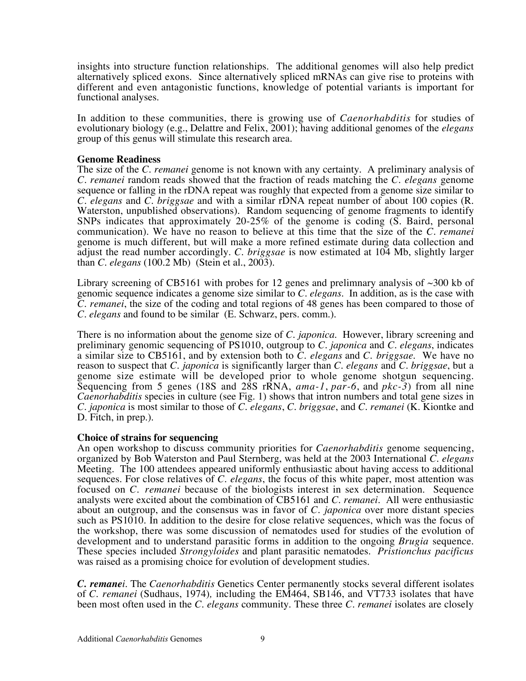insights into structure function relationships. The additional genomes will also help predict alternatively spliced exons. Since alternatively spliced mRNAs can give rise to proteins with different and even antagonistic functions, knowledge of potential variants is important for functional analyses.

In addition to these communities, there is growing use of *Caenorhabditis* for studies of evolutionary biology (e.g., Delattre and Felix, 2001); having additional genomes of the *elegans* group of this genus will stimulate this research area.

## **Genome Readiness**

The size of the *C. remanei* genome is not known with any certainty. A preliminary analysis of *C. remanei* random reads showed that the fraction of reads matching the *C. elegans* genome sequence or falling in the rDNA repeat was roughly that expected from a genome size similar to *C. elegans* and *C. briggsae* and with a similar rDNA repeat number of about 100 copies (R. Waterston, unpublished observations). Random sequencing of genome fragments to identify SNPs indicates that approximately 20-25% of the genome is coding (S. Baird, personal communication). We have no reason to believe at this time that the size of the *C. remanei* genome is much different, but will make a more refined estimate during data collection and adjust the read number accordingly. *C. briggsae* is now estimated at 104 Mb, slightly larger than *C. elegans* (100.2 Mb) (Stein et al., 2003).

Library screening of CB5161 with probes for 12 genes and prelimnary analysis of  $\sim$ 300 kb of genomic sequence indicates a genome size similar to *C. elegans*. In addition, as is the case with *C. remanei*, the size of the coding and total regions of 48 genes has been compared to those of *C. elegans* and found to be similar (E. Schwarz, pers. comm.).

There is no information about the genome size of *C. japonica*. However, library screening and preliminary genomic sequencing of PS1010, outgroup to *C. japonica* and *C. elegans*, indicates a similar size to CB5161, and by extension both to *C. elegans* and *C. briggsae*. We have no reason to suspect that *C. japonica* is significantly larger than *C. elegans* and *C. briggsae*, but a genome size estimate will be developed prior to whole genome shotgun sequencing. Sequencing from 5 genes (18S and 28S rRNA, *ama-1*, *par-6*, and *pkc-3*) from all nine *Caenorhabditis* species in culture (see Fig. 1) shows that intron numbers and total gene sizes in *C. japonica* is most similar to those of *C. elegans*, *C. briggsae*, and *C. remanei* (K. Kiontke and D. Fitch, in prep.).

# **Choice of strains for sequencing**

An open workshop to discuss community priorities for *Caenorhabditis* genome sequencing, organized by Bob Waterston and Paul Sternberg, was held at the 2003 International *C. elegans* Meeting. The 100 attendees appeared uniformly enthusiastic about having access to additional sequences. For close relatives of *C. elegans*, the focus of this white paper, most attention was focused on *C. remanei* because of the biologists interest in sex determination. Sequence analysts were excited about the combination of CB5161 and *C. remanei*. All were enthusiastic about an outgroup, and the consensus was in favor of *C. japonica* over more distant species such as PS1010. In addition to the desire for close relative sequences, which was the focus of the workshop, there was some discussion of nematodes used for studies of the evolution of development and to understand parasitic forms in addition to the ongoing *Brugia* sequence. These species included *Strongyloides* and plant parasitic nematodes. *Pristionchus pacificus* was raised as a promising choice for evolution of development studies.

*C. remanei.* The *Caenorhabditis* Genetics Center permanently stocks several different isolates of *C. remanei* (Sudhaus, 1974)*,* including the EM464, SB146, and VT733 isolates that have been most often used in the *C. elegans* community. These three *C. remanei* isolates are closely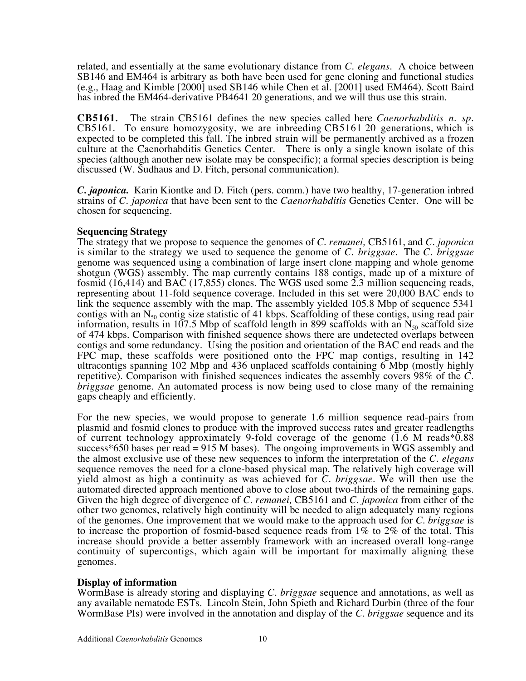related, and essentially at the same evolutionary distance from *C. elegans*. A choice between SB146 and EM464 is arbitrary as both have been used for gene cloning and functional studies (e.g., Haag and Kimble [2000] used SB146 while Chen et al. [2001] used EM464). Scott Baird has inbred the EM464-derivative PB4641 20 generations, and we will thus use this strain.

**CB5161***.* The strain CB5161 defines the new species called here *Caenorhabditis n. sp.* CB5161. To ensure homozygosity, we are inbreeding CB5161 20 generations, which is expected to be completed this fall. The inbred strain will be permanently archived as a frozen culture at the Caenorhabditis Genetics Center. There is only a single known isolate of this species (although another new isolate may be conspecific); a formal species description is being discussed (W. Sudhaus and D. Fitch, personal communication).

*C. japonica.* Karin Kiontke and D. Fitch (pers. comm.) have two healthy, 17-generation inbred strains of *C. japonica* that have been sent to the *Caenorhabditis* Genetics Center. One will be chosen for sequencing.

## **Sequencing Strategy**

The strategy that we propose to sequence the genomes of *C. remanei,* CB5161, and *C. japonica* is similar to the strategy we used to sequence the genome of *C. briggsae*. The *C. briggsae* genome was sequenced using a combination of large insert clone mapping and whole genome shotgun (WGS) assembly. The map currently contains 188 contigs, made up of a mixture of fosmid (16,414) and BAC (17,855) clones. The WGS used some 2.3 million sequencing reads, representing about 11-fold sequence coverage. Included in this set were 20,000 BAC ends to link the sequence assembly with the map. The assembly yielded 105.8 Mbp of sequence 5341 contigs with an  $N_{50}$  contig size statistic of 41 kbps. Scaffolding of these contigs, using read pair information, results in 107.5 Mbp of scaffold length in 899 scaffolds with an  $N_{50}$  scaffold size of 474 kbps. Comparison with finished sequence shows there are undetected overlaps between contigs and some redundancy. Using the position and orientation of the BAC end reads and the FPC map, these scaffolds were positioned onto the FPC map contigs, resulting in 142 ultracontigs spanning 102 Mbp and 436 unplaced scaffolds containing 6 Mbp (mostly highly repetitive). Comparison with finished sequences indicates the assembly covers 98% of the *C. briggsae* genome. An automated process is now being used to close many of the remaining gaps cheaply and efficiently.

For the new species, we would propose to generate 1.6 million sequence read-pairs from plasmid and fosmid clones to produce with the improved success rates and greater readlengths of current technology approximately 9-fold coverage of the genome (1.6 M reads\*0.88 success\*650 bases per read  $= 915$  M bases). The ongoing improvements in WGS assembly and the almost exclusive use of these new sequences to inform the interpretation of the *C. elegans* sequence removes the need for a clone-based physical map. The relatively high coverage will yield almost as high a continuity as was achieved for *C. briggsae.* We will then use the automated directed approach mentioned above to close about two-thirds of the remaining gaps. Given the high degree of divergence of *C. remanei,* CB5161 and *C. japonica* from either of the other two genomes, relatively high continuity will be needed to align adequately many regions of the genomes. One improvement that we would make to the approach used for *C. briggsae* is to increase the proportion of fosmid-based sequence reads from 1% to 2% of the total. This increase should provide a better assembly framework with an increased overall long-range continuity of supercontigs, which again will be important for maximally aligning these genomes.

# **Display of information**

WormBase is already storing and displaying *C. briggsae* sequence and annotations, as well as any available nematode ESTs. Lincoln Stein, John Spieth and Richard Durbin (three of the four WormBase PIs) were involved in the annotation and display of the *C. briggsae* sequence and its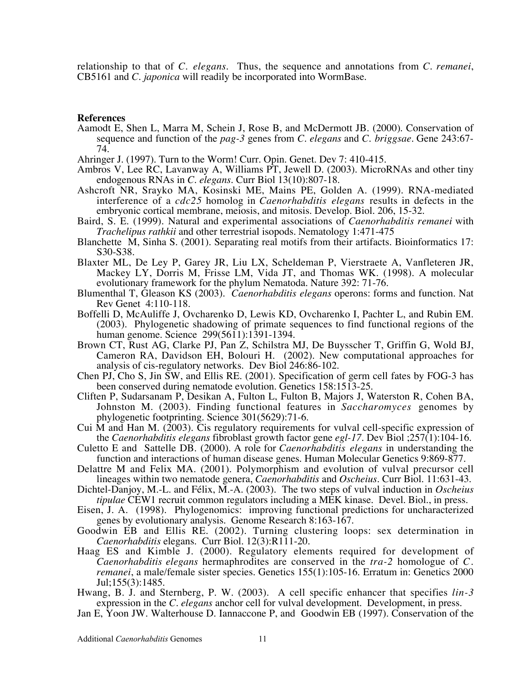relationship to that of *C. elegans*. Thus, the sequence and annotations from *C. remanei*, CB5161 and *C. japonica* will readily be incorporated into WormBase.

#### **References**

- Aamodt E, Shen L, Marra M, Schein J, Rose B, and McDermott JB. (2000). Conservation of sequence and function of the *pag-3* genes from *C. elegans* and *C. briggsae*. Gene 243:67- 74.
- Ahringer J. (1997). Turn to the Worm! Curr. Opin. Genet. Dev 7: 410-415.
- Ambros V, Lee RC, Lavanway A, Williams PT, Jewell D. (2003). MicroRNAs and other tiny endogenous RNAs in *C. elegans*. Curr Biol 13(10):807-18.
- Ashcroft NR, Srayko MA, Kosinski ME, Mains PE, Golden A. (1999). RNA-mediated interference of a *cdc25* homolog in *Caenorhabditis elegans* results in defects in the embryonic cortical membrane, meiosis, and mitosis. Develop. Biol. 206, 15-32.
- Baird, S. E. (1999). Natural and experimental associations of *Caenorhabditis remanei* with *Trachelipus rathkii* and other terrestrial isopods. Nematology 1:471-475
- Blanchette M, Sinha S. (2001). Separating real motifs from their artifacts. Bioinformatics 17: S30-S38.
- Blaxter ML, De Ley P, Garey JR, Liu LX, Scheldeman P, Vierstraete A, Vanfleteren JR, Mackey LY, Dorris M, Frisse LM, Vida JT, and Thomas WK. (1998). A molecular evolutionary framework for the phylum Nematoda. Nature 392: 71-76.
- Blumenthal T, Gleason KS (2003). *Caenorhabditis elegans* operons: forms and function. Nat Rev Genet 4:110-118.
- Boffelli D, McAuliffe J, Ovcharenko D, Lewis KD, Ovcharenko I, Pachter L, and Rubin EM. (2003). Phylogenetic shadowing of primate sequences to find functional regions of the human genome. Science 299(5611):1391-1394.
- Brown CT, Rust AG, Clarke PJ, Pan Z, Schilstra MJ, De Buysscher T, Griffin G, Wold BJ, Cameron RA, Davidson EH, Bolouri H. (2002). New computational approaches for analysis of cis-regulatory networks. Dev Biol 246:86-102.
- Chen PJ, Cho S, Jin SW, and Ellis RE. (2001). Specification of germ cell fates by FOG-3 has been conserved during nematode evolution. Genetics 158:1513-25.
- Cliften P, Sudarsanam P, Desikan A, Fulton L, Fulton B, Majors J, Waterston R, Cohen BA, Johnston M. (2003). Finding functional features in *Saccharomyces* genomes by phylogenetic footprinting. Science 301(5629):71-6.
- Cui M and Han M. (2003). Cis regulatory requirements for vulval cell-specific expression of the *Caenorhabditis elegans* fibroblast growth factor gene *egl-17*. Dev Biol ;257(1):104-16.
- Culetto E and Sattelle DB. (2000). A role for *Caenorhabditis elegans* in understanding the function and interactions of human disease genes. Human Molecular Genetics 9:869-877.
- Delattre M and Felix MA. (2001). Polymorphism and evolution of vulval precursor cell lineages within two nematode genera, *Caenorhabditis* and *Oscheius*. Curr Biol. 11:631-43.
- Dichtel-Danjoy, M.-L. and Félix, M.-A. (2003). The two steps of vulval induction in *Oscheius tipulae* CEW1 recruit common regulators including a MEK kinase. Devel. Biol., in press.
- Eisen, J. A. (1998). Phylogenomics: improving functional predictions for uncharacterized genes by evolutionary analysis. Genome Research 8:163-167.
- Goodwin EB and Ellis RE. (2002). Turning clustering loops: sex determination in *Caenorhabditis* elegans. Curr Biol. 12(3):R111-20.
- Haag ES and Kimble J. (2000). Regulatory elements required for development of *Caenorhabditis elegans* hermaphrodites are conserved in the *tra-2* homologue of *C. remanei*, a male/female sister species. Genetics 155(1):105-16. Erratum in: Genetics 2000 Jul;155(3):1485.
- Hwang, B. J. and Sternberg, P. W. (2003). A cell specific enhancer that specifies *lin-3* expression in the *C. elegans* anchor cell for vulval development. Development, in press.
- Jan E, Yoon JW. Walterhouse D. Iannaccone P, and Goodwin EB (1997). Conservation of the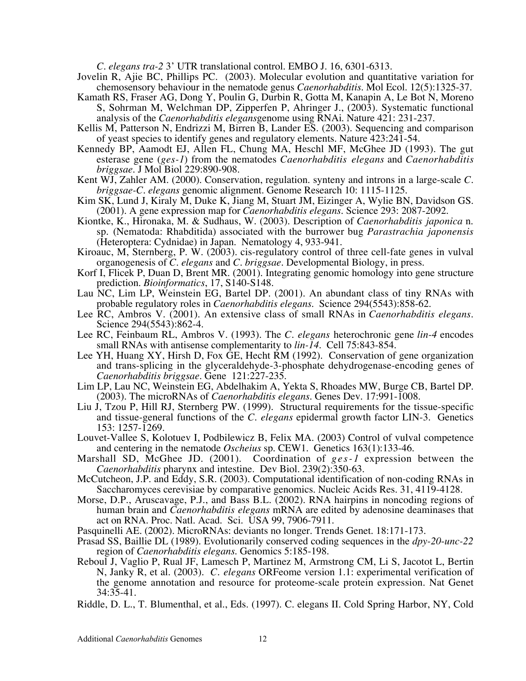*C. elegans tra-2* 3' UTR translational control. EMBO J. 16, 6301-6313.

- Jovelin R, Ajie BC, Phillips PC. (2003). Molecular evolution and quantitative variation for chemosensory behaviour in the nematode genus *Caenorhabditis*. Mol Ecol. 12(5):1325-37.
- Kamath RS, Fraser AG, Dong Y, Poulin G, Durbin R, Gotta M, Kanapin A, Le Bot N, Moreno S, Sohrman M, Welchman DP, Zipperfen P, Ahringer J., (2003). Systematic functional analysis of the *Caenorhabditis elegans*genome using RNAi. Nature 421: 231-237.
- Kellis M, Patterson N, Endrizzi M, Birren B, Lander ES. (2003). Sequencing and comparison of yeast species to identify genes and regulatory elements. Nature 423:241-54.
- Kennedy BP, Aamodt EJ, Allen FL, Chung MA, Heschl MF, McGhee JD (1993). The gut esterase gene (*ges-1*) from the nematodes *Caenorhabditis elegans* and *Caenorhabditis briggsae*. J Mol Biol 229:890-908.
- Kent WJ, Zahler AM. (2000). Conservation, regulation. synteny and introns in a large-scale *C. briggsae-C. elegans* genomic alignment. Genome Research 10: 1115-1125.
- Kim SK, Lund J, Kiraly M, Duke K, Jiang M, Stuart JM, Eizinger A, Wylie BN, Davidson GS. (2001). A gene expression map for *Caenorhabditis elegans*. Science 293: 2087-2092.
- Kiontke, K., Hironaka, M. & Sudhaus, W. (2003). Description of *Caenorhabditis japonica* n. sp. (Nematoda: Rhabditida) associated with the burrower bug *Parastrachia japonensis* (Heteroptera: Cydnidae) in Japan. Nematology 4, 933-941.
- Kiroauc, M, Sternberg, P. W. (2003). cis-regulatory control of three cell-fate genes in vulval organogenesis of *C. elegans* and *C. briggsae*. Developmental Biology, in press.
- Korf I, Flicek P, Duan D, Brent MR. (2001). Integrating genomic homology into gene structure prediction. *Bioinformatics*, 17, S140-S148.
- Lau NC, Lim LP, Weinstein EG, Bartel DP. (2001). An abundant class of tiny RNAs with probable regulatory roles in *Caenorhabditis elegans*. Science 294(5543):858-62.
- Lee RC, Ambros V. (2001). An extensive class of small RNAs in *Caenorhabditis elegans*. Science 294(5543):862-4.
- Lee RC, Feinbaum RL, Ambros V. (1993). The *C. elegans* heterochronic gene *lin-4* encodes small RNAs with antisense complementarity to *lin-14*. Cell 75:843-854.
- Lee YH, Huang XY, Hirsh D, Fox GE, Hecht RM (1992). Conservation of gene organization and trans-splicing in the glyceraldehyde-3-phosphate dehydrogenase-encoding genes of *Caenorhabditis briggsae*. Gene 121:227-235.
- Lim LP, Lau NC, Weinstein EG, Abdelhakim A, Yekta S, Rhoades MW, Burge CB, Bartel DP. (2003). The microRNAs of *Caenorhabditis elegans*. Genes Dev. 17:991-1008.
- Liu J, Tzou P, Hill RJ, Sternberg PW. (1999). Structural requirements for the tissue-specific and tissue-general functions of the *C. elegans* epidermal growth factor LIN-3. Genetics 153: 1257-1269.
- Louvet-Vallee S, Kolotuev I, Podbilewicz B, Felix MA. (2003) Control of vulval competence and centering in the nematode *Oscheius* sp. CEW1. Genetics 163(1):133-46.
- Marshall SD, McGhee JD. (2001). Coordination of *ges-1* expression between the *Caenorhabditis* pharynx and intestine. Dev Biol. 239(2):350-63.
- McCutcheon, J.P. and Eddy, S.R. (2003). Computational identification of non-coding RNAs in Saccharomyces cerevisiae by comparative genomics. Nucleic Acids Res. 31, 4119-4128.
- Morse, D.P., Aruscavage, P.J., and Bass B.L. (2002). RNA hairpins in noncoding regions of human brain and *Caenorhabditis elegans* mRNA are edited by adenosine deaminases that act on RNA. Proc. Natl. Acad. Sci. USA 99, 7906-7911.
- Pasquinelli AE. (2002). MicroRNAs: deviants no longer. Trends Genet. 18:171-173.
- Prasad SS, Baillie DL (1989). Evolutionarily conserved coding sequences in the *dpy-20*-*unc-22* region of *Caenorhabditis elegans*. Genomics 5:185-198.
- Reboul J, Vaglio P, Rual JF, Lamesch P, Martinez M, Armstrong CM, Li S, Jacotot L, Bertin N, Janky R, et al. (2003). *C. elegans* ORFeome version 1.1: experimental verification of the genome annotation and resource for proteome-scale protein expression. Nat Genet 34:35-41.
- Riddle, D. L., T. Blumenthal, et al., Eds. (1997). C. elegans II. Cold Spring Harbor, NY, Cold